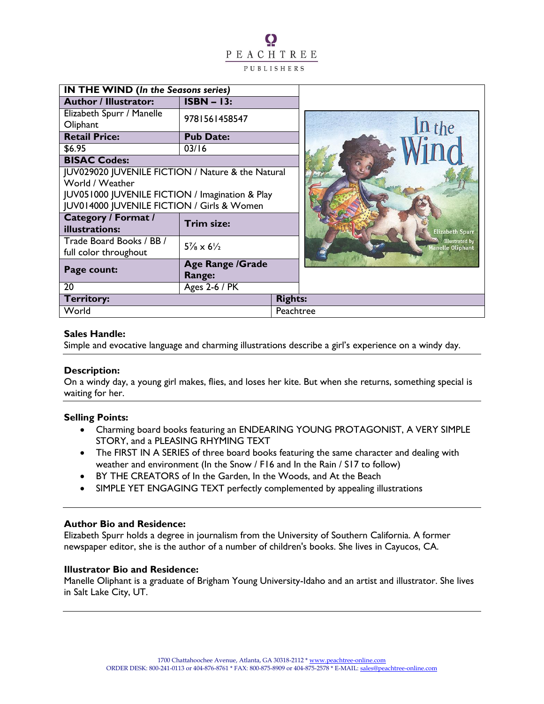# $\Omega$ PEACHTREE PUBLISHERS

| <b>IN THE WIND (In the Seasons series)</b>        |                                    |                |                                                  |  |           |
|---------------------------------------------------|------------------------------------|----------------|--------------------------------------------------|--|-----------|
| <b>Author / Illustrator:</b>                      | $ISBN - 13:$                       |                |                                                  |  |           |
| Elizabeth Spurr / Manelle                         | 9781561458547                      |                |                                                  |  |           |
| Oliphant                                          |                                    |                |                                                  |  | $\ln$ the |
| <b>Retail Price:</b>                              | <b>Pub Date:</b>                   |                |                                                  |  |           |
| \$6.95                                            | 03/16                              |                |                                                  |  |           |
| <b>BISAC Codes:</b>                               |                                    |                |                                                  |  |           |
| JUV029020 JUVENILE FICTION / Nature & the Natural |                                    |                |                                                  |  |           |
| World / Weather                                   |                                    |                |                                                  |  |           |
| JUV051000 JUVENILE FICTION / Imagination & Play   |                                    |                |                                                  |  |           |
| JUV014000 JUVENILE FICTION / Girls & Women        |                                    |                |                                                  |  |           |
| <b>Category / Format /</b><br>illustrations:      | Trim size:                         |                | <b>Elizabeth Spurr</b>                           |  |           |
| Trade Board Books / BB /                          | $5\frac{7}{8} \times 6\frac{1}{2}$ |                | <b>Illustrated by</b><br><b>Janelle Oliphant</b> |  |           |
| full color throughout                             |                                    |                |                                                  |  |           |
| Page count:                                       | <b>Age Range /Grade</b>            |                |                                                  |  |           |
|                                                   | Range:                             |                |                                                  |  |           |
| 20                                                | <b>Ages 2-6 / PK</b>               |                |                                                  |  |           |
| <b>Territory:</b>                                 |                                    | <b>Rights:</b> |                                                  |  |           |
| World                                             |                                    | Peachtree      |                                                  |  |           |

### **Sales Handle:**

Simple and evocative language and charming illustrations describe a girl's experience on a windy day.

### **Description:**

On a windy day, a young girl makes, flies, and loses her kite. But when she returns, something special is waiting for her.

### **Selling Points:**

- Charming board books featuring an ENDEARING YOUNG PROTAGONIST, A VERY SIMPLE STORY, and a PLEASING RHYMING TEXT
- The FIRST IN A SERIES of three board books featuring the same character and dealing with weather and environment (In the Snow / F16 and In the Rain / S17 to follow)
- BY THE CREATORS of In the Garden, In the Woods, and At the Beach
- SIMPLE YET ENGAGING TEXT perfectly complemented by appealing illustrations

#### **Author Bio and Residence:**

Elizabeth Spurr holds a degree in journalism from the University of Southern California. A former newspaper editor, she is the author of a number of children's books. She lives in Cayucos, CA.

### **Illustrator Bio and Residence:**

Manelle Oliphant is a graduate of Brigham Young University-Idaho and an artist and illustrator. She lives in Salt Lake City, UT.